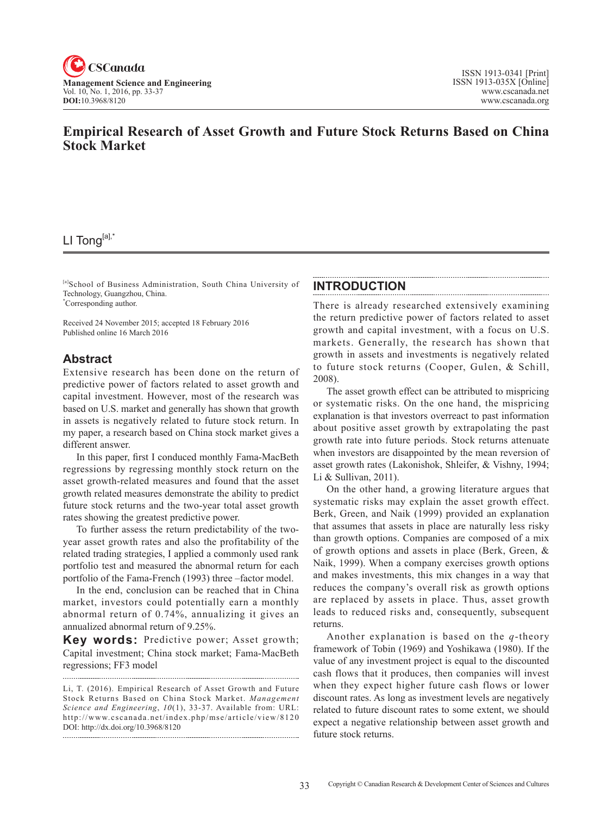

## **Empirical Research of Asset Growth and Future Stock Returns Based on China Stock Market**

# LI Tong[a],\*

[a]School of Business Administration, South China University of Technology, Guangzhou, China. \* Corresponding author.

Received 24 November 2015; accepted 18 February 2016 Published online 16 March 2016

### **Abstract**

Extensive research has been done on the return of predictive power of factors related to asset growth and capital investment. However, most of the research was based on U.S. market and generally has shown that growth in assets is negatively related to future stock return. In my paper, a research based on China stock market gives a different answer.

In this paper, first I conduced monthly Fama-MacBeth regressions by regressing monthly stock return on the asset growth-related measures and found that the asset growth related measures demonstrate the ability to predict future stock returns and the two-year total asset growth rates showing the greatest predictive power.

To further assess the return predictability of the twoyear asset growth rates and also the profitability of the related trading strategies, I applied a commonly used rank portfolio test and measured the abnormal return for each portfolio of the Fama-French (1993) three –factor model.

In the end, conclusion can be reached that in China market, investors could potentially earn a monthly abnormal return of 0.74%, annualizing it gives an annualized abnormal return of 9.25%.

**Key words:** Predictive power; Asset growth; Capital investment; China stock market; Fama-MacBeth regressions; FF3 model

### **INTRODUCTION**

There is already researched extensively examining the return predictive power of factors related to asset growth and capital investment, with a focus on U.S. markets. Generally, the research has shown that growth in assets and investments is negatively related to future stock returns (Cooper, Gulen, & Schill, 2008).

The asset growth effect can be attributed to mispricing or systematic risks. On the one hand, the mispricing explanation is that investors overreact to past information about positive asset growth by extrapolating the past growth rate into future periods. Stock returns attenuate when investors are disappointed by the mean reversion of asset growth rates (Lakonishok, Shleifer, & Vishny, 1994; Li & Sullivan, 2011).

On the other hand, a growing literature argues that systematic risks may explain the asset growth effect. Berk, Green, and Naik (1999) provided an explanation that assumes that assets in place are naturally less risky than growth options. Companies are composed of a mix of growth options and assets in place (Berk, Green, & Naik, 1999). When a company exercises growth options and makes investments, this mix changes in a way that reduces the company's overall risk as growth options are replaced by assets in place. Thus, asset growth leads to reduced risks and, consequently, subsequent returns.

Another explanation is based on the *q*-theory framework of Tobin (1969) and Yoshikawa (1980). If the value of any investment project is equal to the discounted cash flows that it produces, then companies will invest when they expect higher future cash flows or lower discount rates. As long as investment levels are negatively related to future discount rates to some extent, we should expect a negative relationship between asset growth and future stock returns.

Li, T. (2016). Empirical Research of Asset Growth and Future Stock Returns Based on China Stock Market. *Management Science and Engineering, 10(1), 33-37. Available from: URL:* http://www.cscanada.net/index.php/mse/article/view/8120 DOI: http://dx.doi.org/10.3968/8120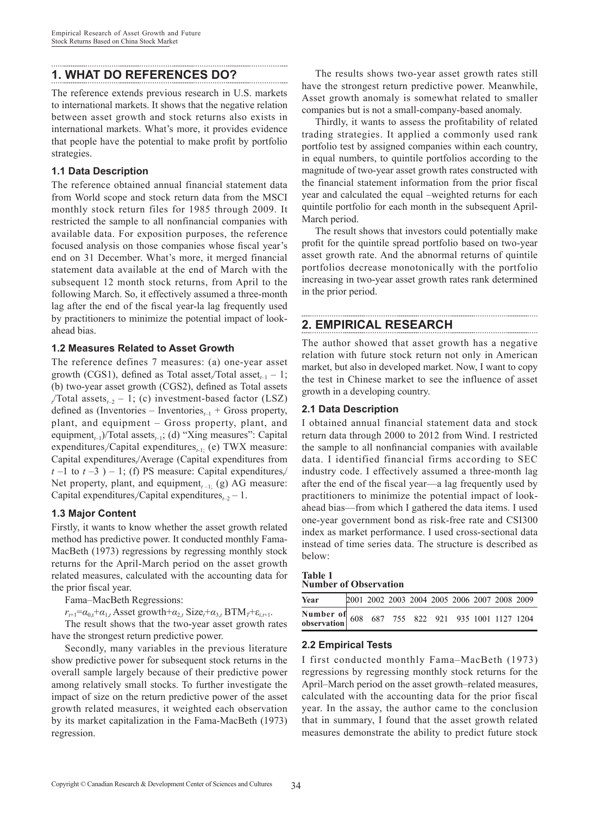## **1. WHAT DO REFERENCES DO?**

The reference extends previous research in U.S. markets to international markets. It shows that the negative relation between asset growth and stock returns also exists in international markets. What's more, it provides evidence that people have the potential to make profit by portfolio strategies.

#### **1.1 Data Description**

The reference obtained annual financial statement data from World scope and stock return data from the MSCI monthly stock return files for 1985 through 2009. It restricted the sample to all nonfinancial companies with available data. For exposition purposes, the reference focused analysis on those companies whose fiscal year's end on 31 December. What's more, it merged financial statement data available at the end of March with the subsequent 12 month stock returns, from April to the following March. So, it effectively assumed a three-month lag after the end of the fiscal year-la lag frequently used by practitioners to minimize the potential impact of lookahead bias.

#### **1.2 Measures Related to Asset Growth**

The reference defines 7 measures: (a) one-year asset growth (CGS1), defined as Total asset<sub>t</sub>/Total asset<sub>t-1</sub> – 1; (b) two-year asset growth (CGS2), defined as Total assets  $t$ <sup>T</sup> (Total assets<sub>t-2</sub> – 1; (c) investment-based factor (LSZ) defined as (Inventories – Inventories<sub> $t-1$ </sub> + Gross property, plant, and equipment – Gross property, plant, and equipment<sub>t-1</sub>)/Total assets<sub>t-1</sub>; (d) "Xing measures": Capital expenditures<sub>t</sub>/Capital expenditures<sub>t-1;</sub> (e) TWX measure: Capital expenditures<sub>t</sub>/Average (Capital expenditures from  $t-1$  to  $t-3$ ) – 1; (f) PS measure: Capital expenditures<sub>t</sub> Net property, plant, and equipment<sub> $t-1$ </sub> (g) AG measure: Capital expenditures<sub>t</sub>/Capital expenditures<sub> $t-2$ </sub> – 1.

#### **1.3 Major Content**

Firstly, it wants to know whether the asset growth related method has predictive power. It conducted monthly Fama-MacBeth (1973) regressions by regressing monthly stock returns for the April-March period on the asset growth related measures, calculated with the accounting data for the prior fiscal year.

Fama–MacBeth Regressions:

 $r_{t+1} = a_{0,t} + a_{1,t}$  Asset growth  $+a_{2,t}$  Size<sub>t</sub> +  $a_{3,t}$  BTM<sub>*T*</sub> +  $\varepsilon_{i,t+1}$ .

The result shows that the two-year asset growth rates have the strongest return predictive power.

Secondly, many variables in the previous literature show predictive power for subsequent stock returns in the overall sample largely because of their predictive power among relatively small stocks. To further investigate the impact of size on the return predictive power of the asset growth related measures, it weighted each observation by its market capitalization in the Fama-MacBeth (1973) regression.

The results shows two-year asset growth rates still have the strongest return predictive power. Meanwhile, Asset growth anomaly is somewhat related to smaller companies but is not a small-company-based anomaly.

Thirdly, it wants to assess the profitability of related trading strategies. It applied a commonly used rank portfolio test by assigned companies within each country, in equal numbers, to quintile portfolios according to the magnitude of two-year asset growth rates constructed with the financial statement information from the prior fiscal year and calculated the equal –weighted returns for each quintile portfolio for each month in the subsequent April-March period.

The result shows that investors could potentially make profit for the quintile spread portfolio based on two-year asset growth rate. And the abnormal returns of quintile portfolios decrease monotonically with the portfolio increasing in two-year asset growth rates rank determined in the prior period.

## **2. EMPIRICAL RESEARCH**

The author showed that asset growth has a negative relation with future stock return not only in American market, but also in developed market. Now, I want to copy the test in Chinese market to see the influence of asset growth in a developing country.

#### **2.1 Data Description**

I obtained annual financial statement data and stock return data through 2000 to 2012 from Wind. I restricted the sample to all nonfinancial companies with available data. I identified financial firms according to SEC industry code. I effectively assumed a three-month lag after the end of the fiscal year—a lag frequently used by practitioners to minimize the potential impact of lookahead bias—from which I gathered the data items. I used one-year government bond as risk-free rate and CSI300 index as market performance. I used cross-sectional data instead of time series data. The structure is described as below:

#### **Table 1 Number of Observation**

| Year                                             |  |  |  |  | 2001 2002 2003 2004 2005 2006 2007 2008 2009 |
|--------------------------------------------------|--|--|--|--|----------------------------------------------|
| Number of 608 687 755 822 921 935 1001 1127 1204 |  |  |  |  |                                              |

#### **2.2 Empirical Tests**

I first conducted monthly Fama–MacBeth (1973) regressions by regressing monthly stock returns for the April–March period on the asset growth–related measures, calculated with the accounting data for the prior fiscal year. In the assay, the author came to the conclusion that in summary, I found that the asset growth related measures demonstrate the ability to predict future stock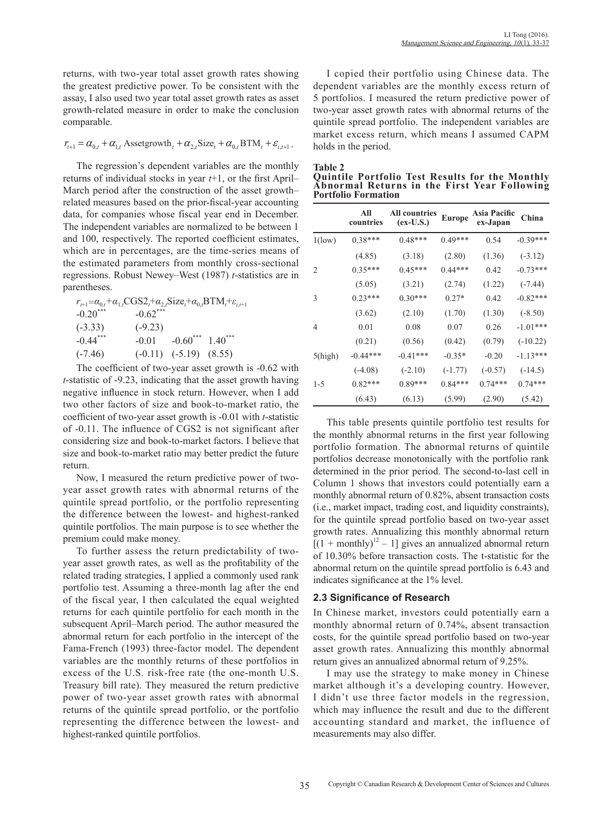returns, with two-year total asset growth rates showing the greatest predictive power. To be consistent with the assay, I also used two year total asset growth rates as asset growth-related measure in order to make the conclusion comparable.

$$
r_{t+1} = \alpha_{0,t} + \alpha_{1,t}
$$
 Assetgrowth<sub>t</sub> +  $\alpha_{2,t}$ Size<sub>t</sub> +  $\alpha_{0,t}$  BTM<sub>t</sub> +  $\varepsilon_{i,t+1}$ .

The regression's dependent variables are the monthly returns of individual stocks in year *t*+1, or the first April– March period after the construction of the asset growth– related measures based on the prior-fiscal-year accounting data, for companies whose fiscal year end in December. The independent variables are normalized to be between 1 and 100, respectively. The reported coefficient estimates, which are in percentages, are the time-series means of the estimated parameters from monthly cross-sectional regressions. Robust Newey–West (1987) *t*-statistics are in parentheses.

| $r_{t+1} = \alpha_{0,t} + \alpha_{1,t} CGS2_t + \alpha_{2,t} Size_t + \alpha_{0,t} BTM_t + \varepsilon_{t,t+1}$ |             |                                   |  |
|-----------------------------------------------------------------------------------------------------------------|-------------|-----------------------------------|--|
| $-0.20***$                                                                                                      | $-0.62$ *** |                                   |  |
| $(-3.33)$                                                                                                       | $(-9.23)$   |                                   |  |
| $-0.44***$                                                                                                      | $-0.01$     | $-0.60^{***}$ 1.40 <sup>***</sup> |  |
| $(-7.46)$                                                                                                       |             | $(-0.11)$ $(-5.19)$ $(8.55)$      |  |

The coefficient of two-year asset growth is -0.62 with *t*-statistic of -9.23, indicating that the asset growth having negative influence in stock return. However, when I add two other factors of size and book-to-market ratio, the coefficient of two-year asset growth is -0.01 with *t*-statistic of -0.11. The influence of CGS2 is not significant after considering size and book-to-market factors. I believe that size and book-to-market ratio may better predict the future return.

Now, I measured the return predictive power of twoyear asset growth rates with abnormal returns of the quintile spread portfolio, or the portfolio representing the difference between the lowest- and highest-ranked quintile portfolios. The main purpose is to see whether the premium could make money.

To further assess the return predictability of twoyear asset growth rates, as well as the profitability of the related trading strategies, I applied a commonly used rank portfolio test. Assuming a three-month lag after the end of the fiscal year, I then calculated the equal weighted returns for each quintile portfolio for each month in the subsequent April–March period. The author measured the abnormal return for each portfolio in the intercept of the Fama-French (1993) three-factor model. The dependent variables are the monthly returns of these portfolios in excess of the U.S. risk-free rate (the one-month U.S. Treasury bill rate). They measured the return predictive power of two-year asset growth rates with abnormal returns of the quintile spread portfolio, or the portfolio representing the difference between the lowest- and highest-ranked quintile portfolios.

I copied their portfolio using Chinese data. The dependent variables are the monthly excess return of 5 portfolios. I measured the return predictive power of two-year asset growth rates with abnormal returns of the quintile spread portfolio. The independent variables are market excess return, which means I assumed CAPM holds in the period.

| <b>Table 2</b> |  |
|----------------|--|
| Auintile Po    |  |

| <b>Quintile Portfolio Test Results for the Monthly</b> |  |  |  |
|--------------------------------------------------------|--|--|--|
| Abnormal Returns in the First Year Following           |  |  |  |
| <b>Portfolio Formation</b>                             |  |  |  |

|                | All<br>countries | <b>All countries</b><br>$(ex-U.S.)$ | <b>Europe</b> | Asia Pacific<br>ex-Japan | China      |
|----------------|------------------|-------------------------------------|---------------|--------------------------|------------|
| $1$ (low)      | $0.38***$        | $0.48***$                           | $0.49***$     | 0.54                     | $-0.39***$ |
|                | (4.85)           | (3.18)                              | (2.80)        | (1.36)                   | $(-3.12)$  |
| $\overline{c}$ | $0.35***$        | $0.45***$                           | $0.44***$     | 0.42                     | $-0.73***$ |
|                | (5.05)           | (3.21)                              | (2.74)        | (1.22)                   | $(-7.44)$  |
| 3              | $0.23***$        | $0.30***$                           | $0.27*$       | 0.42                     | $-0.82***$ |
|                | (3.62)           | (2.10)                              | (1.70)        | (1.30)                   | $(-8.50)$  |
| 4              | 0.01             | 0.08                                | 0.07          | 0.26                     | $-1.01***$ |
|                | (0.21)           | (0.56)                              | (0.42)        | (0.79)                   | $(-10.22)$ |
| $5$ (high)     | $-0.44***$       | $-0.41***$                          | $-0.35*$      | $-0.20$                  | $-1.13***$ |
|                | $(-4.08)$        | $(-2.10)$                           | $(-1.77)$     | $(-0.57)$                | $(-14.5)$  |
| 1-5            | $0.82***$        | $0.89***$                           | $0.84***$     | $0.74***$                | $0.74***$  |
|                | (6.43)           | (6.13)                              | (5.99)        | (2.90)                   | (5.42)     |

This table presents quintile portfolio test results for the monthly abnormal returns in the first year following portfolio formation. The abnormal returns of quintile portfolios decrease monotonically with the portfolio rank determined in the prior period. The second-to-last cell in Column 1 shows that investors could potentially earn a monthly abnormal return of 0.82%, absent transaction costs (i.e., market impact, trading cost, and liquidity constraints), for the quintile spread portfolio based on two-year asset growth rates. Annualizing this monthly abnormal return  $[(1 + monthly)<sup>12</sup> - 1]$  gives an annualized abnormal return of 10.30% before transaction costs. The t-statistic for the abnormal return on the quintile spread portfolio is 6.43 and indicates significance at the 1% level.

#### **2.3 Significance of Research**

In Chinese market, investors could potentially earn a monthly abnormal return of 0.74%, absent transaction costs, for the quintile spread portfolio based on two-year asset growth rates. Annualizing this monthly abnormal return gives an annualized abnormal return of 9.25%.

I may use the strategy to make money in Chinese market although it's a developing country. However, I didn't use three factor models in the regression, which may influence the result and due to the different accounting standard and market, the influence of measurements may also differ.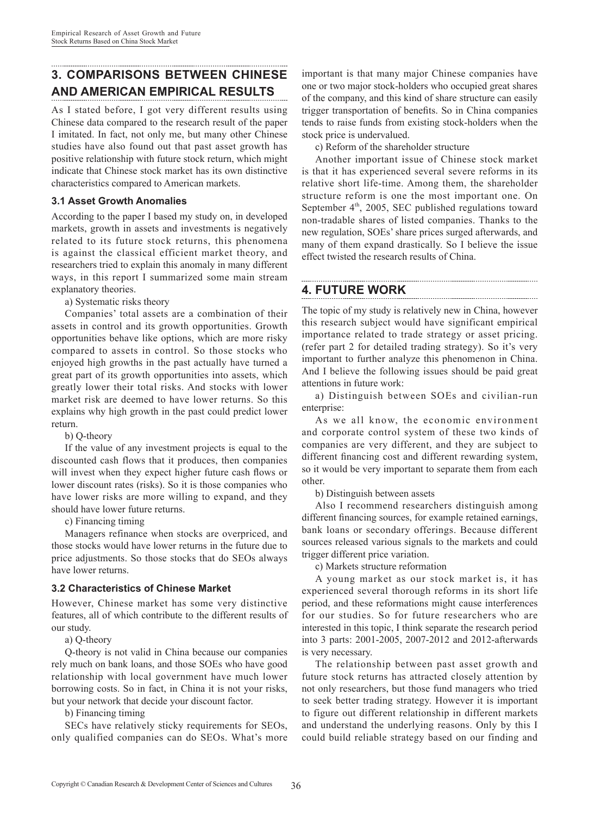## **3. COMPARISONS BETWEEN CHINESE AND AMERICAN EMPIRICAL RESULTS**

As I stated before, I got very different results using Chinese data compared to the research result of the paper I imitated. In fact, not only me, but many other Chinese studies have also found out that past asset growth has positive relationship with future stock return, which might indicate that Chinese stock market has its own distinctive characteristics compared to American markets.

#### **3.1 Asset Growth Anomalies**

According to the paper I based my study on, in developed markets, growth in assets and investments is negatively related to its future stock returns, this phenomena is against the classical efficient market theory, and researchers tried to explain this anomaly in many different ways, in this report I summarized some main stream explanatory theories.

a) Systematic risks theory

Companies' total assets are a combination of their assets in control and its growth opportunities. Growth opportunities behave like options, which are more risky compared to assets in control. So those stocks who enjoyed high growths in the past actually have turned a great part of its growth opportunities into assets, which greatly lower their total risks. And stocks with lower market risk are deemed to have lower returns. So this explains why high growth in the past could predict lower return.

b) Q-theory

If the value of any investment projects is equal to the discounted cash flows that it produces, then companies will invest when they expect higher future cash flows or lower discount rates (risks). So it is those companies who have lower risks are more willing to expand, and they should have lower future returns.

c) Financing timing

Managers refinance when stocks are overpriced, and those stocks would have lower returns in the future due to price adjustments. So those stocks that do SEOs always have lower returns.

### **3.2 Characteristics of Chinese Market**

However, Chinese market has some very distinctive features, all of which contribute to the different results of our study.

a) Q-theory

Q-theory is not valid in China because our companies rely much on bank loans, and those SOEs who have good relationship with local government have much lower borrowing costs. So in fact, in China it is not your risks, but your network that decide your discount factor.

b) Financing timing

SECs have relatively sticky requirements for SEOs, only qualified companies can do SEOs. What's more

important is that many major Chinese companies have one or two major stock-holders who occupied great shares of the company, and this kind of share structure can easily trigger transportation of benefits. So in China companies tends to raise funds from existing stock-holders when the stock price is undervalued.

c) Reform of the shareholder structure

Another important issue of Chinese stock market is that it has experienced several severe reforms in its relative short life-time. Among them, the shareholder structure reform is one the most important one. On September  $4<sup>th</sup>$ , 2005, SEC published regulations toward non-tradable shares of listed companies. Thanks to the new regulation, SOEs' share prices surged afterwards, and many of them expand drastically. So I believe the issue effect twisted the research results of China.

## **4. FUTURE WORK**

The topic of my study is relatively new in China, however this research subject would have significant empirical importance related to trade strategy or asset pricing. (refer part 2 for detailed trading strategy). So it's very important to further analyze this phenomenon in China. And I believe the following issues should be paid great attentions in future work:

a) Distinguish between SOEs and civilian-run enterprise:

As we all know, the economic environment and corporate control system of these two kinds of companies are very different, and they are subject to different financing cost and different rewarding system, so it would be very important to separate them from each other.

b) Distinguish between assets

Also I recommend researchers distinguish among different financing sources, for example retained earnings, bank loans or secondary offerings. Because different sources released various signals to the markets and could trigger different price variation.

c) Markets structure reformation

A young market as our stock market is, it has experienced several thorough reforms in its short life period, and these reformations might cause interferences for our studies. So for future researchers who are interested in this topic, I think separate the research period into 3 parts: 2001-2005, 2007-2012 and 2012-afterwards is very necessary.

The relationship between past asset growth and future stock returns has attracted closely attention by not only researchers, but those fund managers who tried to seek better trading strategy. However it is important to figure out different relationship in different markets and understand the underlying reasons. Only by this I could build reliable strategy based on our finding and